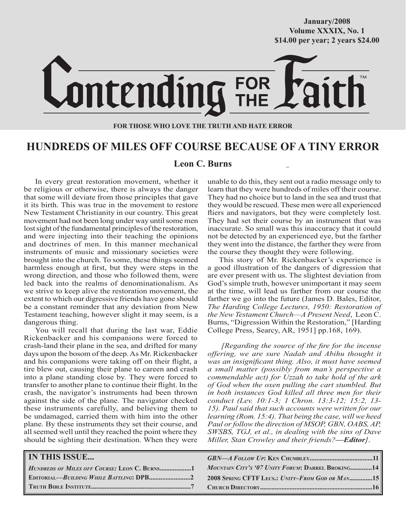## **October/2007 Volume XXXIX, No. 1 Volume XXXVIII, No. 10 \$14.00 per year; 2 years \$24.00 \$14.00 per year; 2 years \$24.00 January/2008**



#### **FOR THOSE WHO LOVE THE TRUTH AND HATE ERROR**

## **HUNDREDS OF MILES OFF COURSE BECAUSE OF A TINY ERROR**

## **Leon C. Burns**

In every great restoration movement, whether it be religious or otherwise, there is always the danger that some will deviate from those principles that gave it its birth. This was true in the movement to restore New Testament Christianity in our country. This great movement had not been long under way until some men lost sight of the fundamental principles of the restoration, and were injecting into their teaching the opinions and doctrines of men. In this manner mechanical instruments of music and missionary societies were brought into the church. To some, these things seemed harmless enough at first, but they were steps in the wrong direction, and those who followed them, were led back into the realms of denominationalism. As we strive to keep alive the restoration movement, the extent to which our digressive friends have gone should be a constant reminder that any deviation from New Testament teaching, however slight it may seem, is a dangerous thing.

You will recall that during the last war, Eddie Rickenbacker and his companions were forced to crash-land their plane in the sea, and drifted for many days upon the bosom of the deep. As Mr. Rickenbacker and his companions were taking off on their flight, a tire blew out, causing their plane to careen and crash into a plane standing close by. They were forced to transfer to another plane to continue their flight. In the crash, the navigator's instruments had been thrown against the side of the plane. The navigator checked these instruments carefully, and believing them to be undamaged, carried them with him into the other plane. By these instruments they set their course, and all seemed well until they reached the point where they should be sighting their destination. When they were

unable to do this, they sent out a radio message only to learn that they were hundreds of miles off their course. They had no choice but to land in the sea and trust that they would be rescued. These men were all experienced fliers and navigators, but they were completely lost. They had set their course by an instrument that was inaccurate. So small was this inaccuracy that it could not be detected by an experienced eye, but the farther they went into the distance, the farther they were from the course they thought they were following.

This story of Mr. Rickenbacker's experience is a good illustration of the dangers of digression that are ever present with us. The slightest deviation from God's simple truth, however unimportant it may seem at the time, will lead us farther from our course the farther we go into the future (James D. Bales, Editor, *The Harding College Lectures, 1950: Restoration of the New Testament Church—A Present Need*,Leon C. Burns, "Digression Within the Restoration," [Harding College Press, Searcy, AR, 1951] pp.168, 169).

*[Regarding the source of the fire for the incense offering, we are sure Nadab and Abihu thought it was an insignificant thing. Also, it must have seemed a small matter (possibly from man's perspective a commendable act) for Uzzah to take hold of the ark of God when the oxen pulling the cart stumbled. But in both instances God killed all three men for their conduct (Lev. 10:1-3; 1 Chron. 13:3-12; 15:2, 13- 15). Paul said that such accounts were written for our learning (Rom. 15:4). That being the case, will we heed Paul or follow the direction of MSOP, GBN, OABS, AP, SWSBS, TGJ, et al., in dealing with the sins of Dave Miller, Stan Crowley and their friends?—Editor]*.

| <b>IN THIS ISSUE</b>                                   |                                                   |
|--------------------------------------------------------|---------------------------------------------------|
| $H$ <i>UNDREDS OF MILES OFF COURSE:</i> LEON C. BURNS1 | MOUNTAIN CITY'S '07 UNITY FORUM: DARREL BROKING14 |
|                                                        | 2008 SPRING CFTF LECS.: UNITY-FROM GOD OR MAN15   |
|                                                        |                                                   |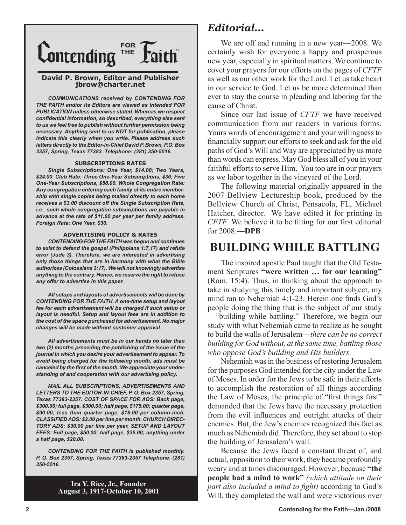

#### **David P. Brown, Editor and Publisher jbrow@charter.net**

*COMMUNICATIONS received by CONTENDING FOR THE FAITH and/or its Editors are viewed as intended FOR PUBLICATION unless otherwise stated. Whereas we respect confidential information, so described, everything else sent to us we feel free to publish without further permission being necessary. Anything sent to us NOT for publication, please indicate this clearly when you write. Please address such letters directly to the Editor-in-Chief David P. Brown, P.O. Box 2357, Spring, Texas 77383. Telephone: (281) 350-5516.*

#### **SUBSCRIPTIONS RATES**

*Single Subscriptions: One Year, \$14.00; Two Years, \$24.00. Club Rate: Three One-Year Subscriptions, \$36; Five One-Year Subscriptions, \$58.00. Whole Congregation Rate: Any congregation entering each family of its entire membership with single copies being mailed directly to each home receives a \$3.00 discount off the Single Subscription Rate, i.e., such whole congregation subscriptions are payable in advance at the rate of \$11.00 per year per family address. Foreign Rate: One Year, \$30.*

#### **ADVERTISING POLICY & RATES**

*CONTENDING FOR THE FAITH was begun and continues to exist to defend the gospel (Philippians 1:7,17) and refute error (Jude 3). Therefore, we are interested in advertising only those things that are in harmony with what the Bible authorizes (Colossians 3:17). We will not knowingly advertise anything to the contrary. Hence, we reserve the right to refuse any offer to advertise in this paper.*

*All setups and layouts of advertisements will be done by CONTENDING FOR THE FAITH. A one-time setup and layout fee for each advertisement will be charged if such setup or layout is needful. Setup and layout fees are in addition to the cost of the space purchased for advertisement. No major changes will be made without customer approval.*

*All advertisements must be in our hands no later than two (2) months preceding the publishing of the issue of the journal in which you desire your advertisement to appear. To avoid being charged for the following month, ads must be canceled by the first of the month. We appreciate your understanding of and cooperation with our advertising policy.*

*MAIL ALL SUBSCRIPTIONS, ADVERTISEMENTS AND LETTERS TO THE EDITOR-IN-CHIEF, P. O. Box 2357, Spring, Texas 77383-2357. COST OF SPACE FOR ADS: Back page, \$300.00; full page, \$300.00; half page, \$175.00; quarter page, \$90.00; less than quarter page, \$18.00 per column-inch. CLASSIFIED ADS: \$2.00 per line per month. CHURCH DIREC-TORY ADS: \$30.00 per line per year. SETUP AND LAYOUT FEES: Full page, \$50.00; half page, \$35.00; anything under a half page, \$20.00.*

*CONTENDING FOR THE FAITH is published monthly. P. O. Box 2357, Spring, Texas 77383-2357 Telephone: (281) 350-5516.*

> **Ira Y. Rice, Jr., Founder August 3, 1917-October 10, 2001**

## *Editorial...*

We are off and running in a new year—2008. We certainly wish for everyone a happy and prosperous new year, especially in spiritual matters. We continue to covet your prayers for our efforts on the pages of *CFTF* as well as our other work for the Lord. Let us take heart in our service to God. Let us be more determined than ever to stay the course in pleading and laboring for the cause of Christ.

Since our last issue of *CFTF* we have received communication from our readers in various forms. Yours words of encouragement and your willingness to financially support our efforts to seek and ask for the old paths of God's Will and Way are appreciated by us more than words can express. May God bless all of you in your faithful efforts to serve Him. You too are in our prayers as we labor together in the vineyard of the Lord.

The following material originally appeared in the 2007 Bellview Lectureship book, produced by the Bellview Church of Christ, Pensacola, FL, Michael Hatcher, director. We have edited it for printing in *CFTF*. We believe it to be fitting for our first editorial for 2008.**—DPB**

## **BUILDING WHILE BATTLING**

The inspired apostle Paul taught that the Old Testament Scriptures **"were written … for our learning"** (Rom. 15:4). Thus, in thinking about the approach to take in studying this timely and important subject, my mind ran to Nehemiah 4:1-23. Herein one finds God's people doing the thing that is the subject of our study —"building while battling." Therefore, we begin our study with what Nehemiah came to realize as he sought to build the walls of Jerusalem—*there can be no correct building for God without, at the same time, battling those who oppose God's building and His builders.*

Nehemiah was in the business of restoring Jerusalem for the purposes God intended for the city under the Law of Moses. In order for the Jews to be safe in their efforts to accomplish the restoration of all things according the Law of Moses, the principle of "first things first" demanded that the Jews have the necessary protection from the evil influences and outright attacks of their enemies. But, the Jew's enemies recognized this fact as much as Nehemiah did. Therefore, they set about to stop the building of Jerusalem's wall.

Because the Jews faced a constant threat of, and actual, opposition to their work, they became profoundly weary and at times discouraged. However, because **"the people had a mind to work"** *(which attitude on their part also included a mind to fight)* according to God's Will, they completed the wall and were victorious over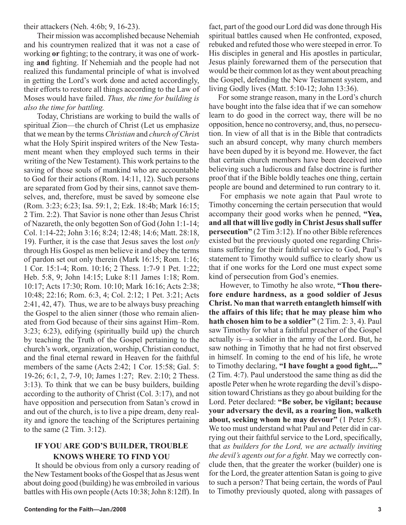## their attackers (Neh. 4:6b; 9, 16-23).

Their mission was accomplished because Nehemiah and his countrymen realized that it was not a case of working **or** fighting; to the contrary, it was one of working **and** fighting. If Nehemiah and the people had not realized this fundamental principle of what is involved in getting the Lord's work done and acted accordingly, their efforts to restore all things according to the Law of Moses would have failed. *Thus, the time for building is also the time for battling.*

Today, Christians are working to build the walls of spiritual Zion—the church of Christ (Let us emphasize that we mean by the terms *Christian* and *church of Chris*t what the Holy Spirit inspired writers of the New Testament meant when they employed such terms in their writing of the New Testament). This work pertains to the saving of those souls of mankind who are accountable to God for their actions (Rom. 14:11, 12). Such persons are separated from God by their sins, cannot save themselves, and, therefore, must be saved by someone else (Rom. 3:23; 6:23; Isa. 59:1, 2; Ezk. 18:4b; Mark 16:15; 2 Tim. 2:2). That Savior is none other than Jesus Christ of Nazareth, the only begotten Son of God (John 1:1-14; Col. 1:14-22; John 3:16; 8:24; 12:48; 14:6; Matt. 28:18, 19). Further, it is the case that Jesus saves the lost *only* through His Gospel as men believe it and obey the terms of pardon set out only therein (Mark 16:15; Rom. 1:16; 1 Cor. 15:1-4; Rom. 10:16; 2 Thess. 1:7-9 1 Pet. 1:22; Heb. 5:8, 9; John 14:15; Luke 8:11 James 1:18; Rom. 10:17; Acts 17:30; Rom. 10:10; Mark 16:16; Acts 2:38; 10:48; 22:16; Rom. 6:3, 4; Col. 2:12; 1 Pet. 3:21; Acts 2:41, 42, 47). Thus, we are to be always busy preaching the Gospel to the alien sinner (those who remain alienated from God because of their sins against Him–Rom. 3:23; 6:23), edifying (spiritually build up) the church by teaching the Truth of the Gospel pertaining to the church's work, organization, worship, Christian conduct, and the final eternal reward in Heaven for the faithful members of the same (Acts 2:42; 1 Cor. 15:58; Gal. 5: 19-26; 6:1, 2, 7-9, 10; James 1:27; Rev. 2:10; 2 Thess. 3:13). To think that we can be busy builders, building according to the authority of Christ (Col. 3:17), and not have opposition and persecution from Satan's crowd in and out of the church, is to live a pipe dream, deny reality and ignore the teaching of the Scriptures pertaining to the same (2 Tim. 3:12).

## **IF YOU ARE GOD'S BUILDER, TROUBLE KNOWS WHERE TO FIND YOU**

It should be obvious from only a cursory reading of the New Testament books of the Gospel that as Jesus went about doing good (building) he was embroiled in various battles with His own people (Acts 10:38; John 8:12ff). In

fact, part of the good our Lord did was done through His spiritual battles caused when He confronted, exposed, rebuked and refuted those who were steeped in error. To His disciples in general and His apostles in particular, Jesus plainly forewarned them of the persecution that would be their common lot as they went about preaching the Gospel, defending the New Testament system, and living Godly lives (Matt. 5:10-12; John 13:36).

For some strange reason, many in the Lord's church have bought into the false idea that if we can somehow learn to do good in the correct way, there will be no opposition, hence no controversy, and, thus, no persecution. In view of all that is in the Bible that contradicts such an absurd concept, why many church members have been duped by it is beyond me. However, the fact that certain church members have been deceived into believing such a ludicrous and false doctrine is further proof that if the Bible boldly teaches one thing, certain people are bound and determined to run contrary to it.

For emphasis we note again that Paul wrote to Timothy concerning the certain persecution that would accompany their good works when he penned, **"Yea, and all that will live godly in Christ Jesusshall suffer persecution"** (2 Tim 3:12). If no other Bible references existed but the previously quoted one regarding Christians suffering for their faithful service to God, Paul's statement to Timothy would suffice to clearly show us that if one works for the Lord one must expect some kind of persecution from God's enemies.

However, to Timothy he also wrote, **"Thou therefore endure hardness, as a good soldier of Jesus Christ. No man that warreth entangleth himself with the affairs of this life; that he may please him who hath chosen him to be a soldier"** (2 Tim. 2: 3, 4). Paul saw Timothy for what a faithful preacher of the Gospel actually is—a soldier in the army of the Lord. But, he saw nothing in Timothy that he had not first observed in himself. In coming to the end of his life, he wrote to Timothy declaring, **"I have fought a good fight,..."** (2 Tim. 4:7). Paul understood the same thing as did the apostle Peter when he wrote regarding the devil's disposition toward Christians as they go about building for the Lord. Peter declared: **"Be sober, be vigilant; because your adversary the devil, as a roaring lion, walketh about, seeking whom he may devour"** (1 Peter 5:8). We too must understand what Paul and Peter did in carrying out their faithful service to the Lord, specifically, that *as builders for the Lord, we are actually inviting the devil's agents out for a fight.* May we correctly conclude then, that the greater the worker (builder) one is for the Lord, the greater attention Satan is going to give to such a person? That being certain, the words of Paul to Timothy previously quoted, along with passages of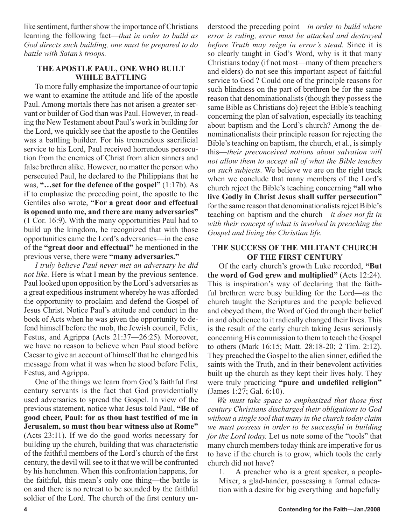like sentiment, further show the importance of Christians learning the following fact—*that in order to build as God directs such building, one must be prepared to do battle with Satan's troops.*

## **THE APOSTLE PAUL, ONE WHO BUILT WHILE BATTLING**

To more fully emphasize the importance of our topic we want to examine the attitude and life of the apostle Paul. Among mortals there has not arisen a greater servant or builder of God than was Paul. However, in reading the New Testament about Paul's work in building for the Lord, we quickly see that the apostle to the Gentiles was a battling builder. For his tremendous sacrificial service to his Lord, Paul received horrendous persecution from the enemies of Christ from alien sinners and false brethren alike. However, no matter the person who persecuted Paul, he declared to the Philippians that he was, **"…set for the defence of the gospel"** (1:17b). As if to emphasize the preceding point, the apostle to the Gentiles also wrote, **"For a great door and effectual is opened unto me, and there are many adversaries"** (1 Cor. 16:9). With the many opportunities Paul had to build up the kingdom, he recognized that with those opportunities came the Lord's adversaries—in the case of the **"great door and effectual"** he mentioned in the previous verse, there were **"many adversaries."**

*I truly believe Paul never met an adversary he did not like.* Here is what I mean by the previous sentence. Paul looked upon opposition by the Lord's adversaries as a great expeditious instrument whereby he was afforded the opportunity to proclaim and defend the Gospel of Jesus Christ. Notice Paul's attitude and conduct in the book of Acts when he was given the opportunity to defend himself before the mob, the Jewish council, Felix, Festus, and Agrippa (Acts 21:37—26:25). Moreover, we have no reason to believe when Paul stood before Caesar to give an account of himself that he changed his message from what it was when he stood before Felix, Festus, and Agrippa.

One of the things we learn from God's faithful first century servants is the fact that God providentially used adversaries to spread the Gospel. In view of the previous statement, notice what Jesus told Paul, **"Be of good cheer, Paul: for as thou hast testified of me in Jerusalem, so must thou bear witness also at Rome"** (Acts 23:11). If we do the good works necessary for building up the church, building that was characteristic of the faithful members of the Lord's church of the first century, the devil will see to it that we will be confronted by his henchmen. When this confrontation happens, for the faithful, this mean's only one thing—the battle is on and there is no retreat to be sounded by the faithful soldier of the Lord. The church of the first century understood the preceding point—*in order to build where error is ruling, error must be attacked and destroyed before Truth may reign in error's stead.* Since it is so clearly taught in God's Word*,* why is it that many Christians today (if not most—many of them preachers and elders) do not see this important aspect of faithful service to God ? Could one of the principle reasons for such blindness on the part of brethren be for the same reason that denominationalists (though they possess the same Bible as Christians do) reject the Bible's teaching concerning the plan of salvation, especially its teaching about baptism and the Lord's church? Among the denominationalists their principle reason for rejecting the Bible's teaching on baptism, the church, et al., is simply this—*their preconceived notions about salvation will not allow them to accept all of what the Bible teaches on such subjects.* We believe we are on the right track when we conclude that many members of the Lord's church reject the Bible's teaching concerning **"all who live Godly in Christ Jesus shall suffer persecution"** for the same reason that denominationalists reject Bible's teaching on baptism and the church—*it does not fit in with their concept of what is involved in preaching the Gospel and living the Christian life.*

## **THE SUCCESS OF THE MILITANT CHURCH OF THE FIRST CENTURY**

Of the early church's growth Luke recorded, **"But the word of God grew and multiplied"** (Acts 12:24). This is inspiration's way of declaring that the faithful brethren were busy building for the Lord—as the church taught the Scriptures and the people believed and obeyed them, the Word of God through their belief in and obedience to it radically changed their lives. This is the result of the early church taking Jesus seriously concerning His commission to them to teach the Gospel to others (Mark 16:15; Matt. 28:18-20; 2 Tim. 2:12). They preached the Gospel to the alien sinner, edified the saints with the Truth, and in their benevolent activities built up the church as they kept their lives holy. They were truly practicing **"pure and undefiled religion"** (James 1:27; Gal. 6:10).

*We must take space to emphasized that those first century Christians discharged their obligations to God without a single tool that many in the church today claim we must possess in order to be successful in building for the Lord today.* Let us note some of the "tools" that many church members today think are imperative for us to have if the church is to grow, which tools the early church did not have?

1. A preacher who is a great speaker, a people-Mixer, a glad-hander, possessing a formal education with a desire for big everything and hopefully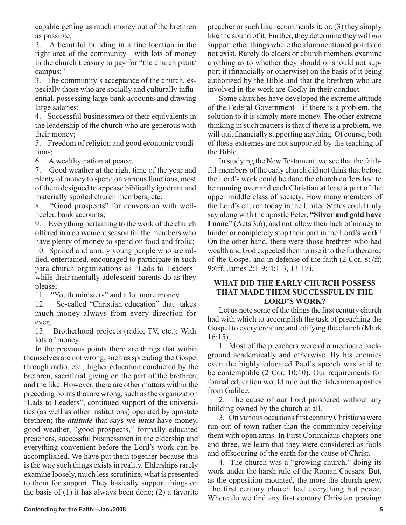capable getting as much money out of the brethren as possible;

2. A beautiful building in a fine location in the right area of the community—with lots of money in the church treasury to pay for "the church plant/ campus;"

3. The community's acceptance of the church, especially those who are socially and culturally influential, possessing large bank accounts and drawing large salaries;

4. Successful businessmen or their equivalents in the leadership of the church who are generous with their money;

5. Freedom of religion and good economic conditions;

6. A wealthy nation at peace;

7. Good weather at the right time of the year and plenty of money to spend on various functions, most of them designed to appease biblically ignorant and materially spoiled church members, etc;

8. "Good prospects" for conversion with wellheeled bank accounts;

9. Everything pertaining to the work of the church offered in a convenient season for the members who have plenty of money to spend on food and frolic;

10. Spoiled and unruly young people who are rallied, entertained, encouraged to participate in such para-church organizations as "Lads to Leaders" while their mentally adolescent parents do as they please;

11. "Youth ministers" and a lot more money.

12. So-called "Christian education" that takes much money always from every direction for ever;

13. Brotherhood projects (radio, TV, etc.); With lots of money.

In the previous points there are things that within themselves are not wrong, such as spreading the Gospel through radio, etc., higher education conducted by the brethren, sacrificial giving on the part of the brethren, and the like. However, there are other matters within the preceding points that are wrong, such as the organization "Lads to Leaders", continued support of the universities (as well as other institutions) operated by apostate brethren; the *attitude* that says we *must* have money, good weather, "good prospects," formally educated preachers, successful businessmen in the eldership and everything convenient before the Lord's work can be accomplished. We have put them together because this is the way such things exists in reality. Elderships rarely examine loosely, much less scrutinize, what is presented to them for support. They basically support things on the basis of (1) it has always been done; (2) a favorite

preacher or such like recommends it; or, (3) they simply like the sound of it. Further, they determine they will *not*  support other things where the aforementioned points do not exist. Rarely do elders or church members examine anything as to whether they should or should not support it (financially or otherwise) on the basis of it being authorized by the Bible and that the brethren who are involved in the work are Godly in their conduct.

Some churches have developed the extreme attitude of the Federal Government—if there is a problem, the solution to it is simply more money. The other extreme thinking in such matters is that if there is a problem, we will quit financially supporting anything. Of course, both of these extremes are not supported by the teaching of the Bible.

In studying the New Testament, we see that the faithful members of the early church did not think that before the Lord's work could be done the church coffers had to be running over and each Christian at least a part of the upper middle class of society. How many members of the Lord's church today in the United States could truly say along with the apostle Peter, **"Silver and gold have I none"** (Acts 3:6), and not allow their lack of money to hinder or completely stop their part in the Lord's work? On the other hand, there were those brethren who had wealth and God expected them to use it to the furtherance of the Gospel and in defense of the faith (2 Cor. 8:7ff; 9:6ff; James 2:1-9; 4:1-3, 13-17).

## **WHAT DID THE EARLY CHURCH POSSESS THAT MADE THEM SUCCESSFUL IN THE LORD'S WORK?**

Let us note some of the things the first century church had with which to accomplish the task of preaching the Gospel to every creature and edifying the church (Mark 16:15).

1. Most of the preachers were of a mediocre background academically and otherwise. By his enemies even the highly educated Paul's speech was said to be contemptible (2 Cor. 10:10). Our requirements for formal education would rule out the fishermen apostles from Galilee.

2. The cause of our Lord prospered without any building owned by the church at all.

3. On various occasions first century Christians were run out of town rather than the community receiving them with open arms. In First Corinthians chapters one and three, we learn that they were considered as fools and offscouring of the earth for the cause of Christ.

4. The church was a "growing church," doing its work under the harsh rule of the Roman Caesars. But, as the opposition mounted, the more the church grew. The first century church had everything but peace. Where do we find any first century Christian praying: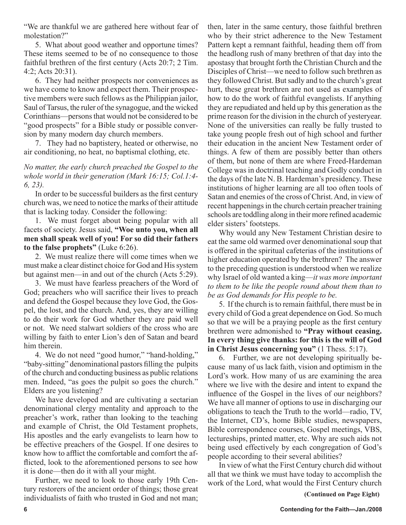"We are thankful we are gathered here without fear of molestation?"

5. What about good weather and opportune times? These items seemed to be of no consequence to those faithful brethren of the first century (Acts 20:7; 2 Tim. 4:2; Acts 20:31).

6. They had neither prospects nor conveniences as we have come to know and expect them. Their prospective members were such fellows as the Philippian jailor, Saul of Tarsus, the ruler of the synagogue, and the wicked Corinthians—persons that would not be considered to be "good prospects" for a Bible study or possible conversion by many modern day church members.

7. They had no baptistery, heated or otherwise, no air conditioning, no heat, no baptismal clothing, etc.

## *No matter, the early church preached the Gospel to the whole world in their generation (Mark 16:15; Col.1:4- 6, 23).*

In order to be successful builders as the first century church was, we need to notice the marks of their attitude that is lacking today. Consider the following:

1. We must forget about being popular with all facets of society. Jesus said, **"Woe unto you, when all men shall speak well of you! For so did their fathers to the false prophets"** (Luke 6:26).

2. We must realize there will come times when we must make a clear distinct choice for God and His system but against men—in and out of the church (Acts 5:29).

3. We must have fearless preachers of the Word of God; preachers who will sacrifice their lives to preach and defend the Gospel because they love God, the Gospel, the lost, and the church. And, yes, they are willing to do their work for God whether they are paid well or not. We need stalwart soldiers of the cross who are willing by faith to enter Lion's den of Satan and beard him therein.

4. We do not need "good humor," "hand-holding," "baby-sitting" denominational pastors filling the pulpits of the church and conducting business as public relations men. Indeed, "as goes the pulpit so goes the church." Elders are you listening?

We have developed and are cultivating a sectarian denominational clergy mentality and approach to the preacher's work, rather than looking to the teaching and example of Christ, the Old Testament prophets, His apostles and the early evangelists to learn how to be effective preachers of the Gospel. If one desires to know how to afflict the comfortable and comfort the afflicted, look to the aforementioned persons to see how it is done—then do it with all your might.

Further, we need to look to those early 19th Century restorers of the ancient order of things; those great individualists of faith who trusted in God and not man;

then, later in the same century, those faithful brethren who by their strict adherence to the New Testament Pattern kept a remnant faithful, heading them off from the headlong rush of many brethren of that day into the apostasy that brought forth the Christian Church and the Disciples of Christ—we need to follow such brethren as they followed Christ. But sadly and to the church's great hurt, these great brethren are not used as examples of how to do the work of faithful evangelists. If anything they are repudiated and held up by this generation as the prime reason for the division in the church of yesteryear. None of the universities can really be fully trusted to take young people fresh out of high school and further their education in the ancient New Testament order of things. A few of them are possibly better than others of them, but none of them are where Freed-Hardeman College was in doctrinal teaching and Godly conduct in the days of the late N. B. Hardeman's presidency. These institutions of higher learning are all too often tools of Satan and enemies of the cross of Christ. And, in view of recent happenings in the church certain preacher training schools are toddling along in their more refined academic elder sisters' footsteps.

Why would any New Testament Christian desire to eat the same old warmed over denominational soup that is offered in the spiritual cafeterias of the institutions of higher education operated by the brethren? The answer to the preceding question is understood when we realize why Israel of old wanted a king—*it was more important to them to be like the people round about them than to be as God demands for His people to be.*

5. If the church is to remain faithful, there must be in every child of God a great dependence on God. So much so that we will be a praying people as the first century brethren were admonished to **"Pray without ceasing. In every thing give thanks: for this is the will of God in Christ Jesus concerning you"** (1 Thess. 5:17).

6. Further, we are not developing spiritually because many of us lack faith, vision and optimism in the Lord's work. How many of us are examining the area where we live with the desire and intent to expand the influence of the Gospel in the lives of our neighbors? We have all manner of options to use in discharging our obligations to teach the Truth to the world—radio, TV, the Internet, CD's, home Bible studies, newspapers, Bible correspondence courses, Gospel meetings, VBS, lectureships, printed matter, etc. Why are such aids not being used effectively by each congregation of God's people according to their several abilities?

In view of what the First Century church did without all that we think we must have today to accomplish the work of the Lord, what would the First Century church

**(Continued on Page Eight)**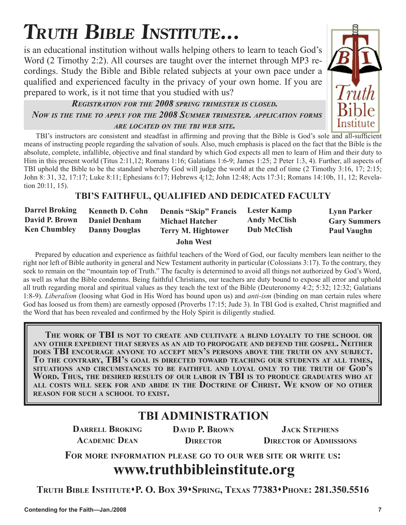# **TRUTH BIBLE INSTITUTE...**

is an educational institution without walls helping others to learn to teach God's Word (2 Timothy 2:2). All courses are taught over the internet through MP3 recordings. Study the Bible and Bible related subjects at your own pace under a qualified and experienced faculty in the privacy of your own home. If you are prepared to work, is it not time that you studied with us?

## *REGISTRATION FOR THE 2008 SPRING TRIMESTER IS CLOSED. NOW IS THE TIME TO APPLY FOR THE 2008 SUMMER TRIMESTER. APPLICATION FORMS ARE LOCATED ON THE TBI WEB SITE.*

TBI's instructors are consistent and steadfast in affirming and proving that the Bible is God's sole and all-sufficient means of instructing people regarding the salvation of souls. Also, much emphasis is placed on the fact that the Bible is the absolute, complete, infallible, objective and final standard by which God expects all men to learn of Him and their duty to Him in this present world (Titus 2:11,12; Romans 1:16; Galatians 1:6-9; James 1:25; 2 Peter 1:3, 4). Further, all aspects of TBI uphold the Bible to be the standard whereby God will judge the world at the end of time (2 Timothy 3:16, 17; 2:15; John 8: 31, 32, 17:17; Luke 8:11; Ephesians 6:17; Hebrews 4:12; John 12:48; Acts 17:31; Romans 14:10b, 11, 12; Revelation 20:11, 15).

## **TBI'S FAITHFUL, QUALIFIED AND DEDICATED FACULTY**

| <b>Darrel Broking</b> | <b>Kenneth D. Cohn</b> | <b>Dennis "Skip" Francis</b> | <b>Lester Kamp</b>  | <b>Lynn Parker</b>  |
|-----------------------|------------------------|------------------------------|---------------------|---------------------|
| David P. Brown        | <b>Daniel Denham</b>   | <b>Michael Hatcher</b>       | <b>Andy McClish</b> | <b>Gary Summers</b> |
| <b>Ken Chumbley</b>   | <b>Danny Douglas</b>   | <b>Terry M. Hightower</b>    | <b>Dub McClish</b>  | <b>Paul Vaughn</b>  |
|                       |                        | <b>John West</b>             |                     |                     |

Prepared by education and experience as faithful teachers of the Word of God, our faculty members lean neither to the right nor left of Bible authority in general and New Testament authority in particular (Colossians 3:17). To the contrary, they seek to remain on the "mountain top of Truth." The faculty is determined to avoid all things not authorized by God's Word, as well as what the Bible condemns. Being faithful Christians, our teachers are duty bound to expose all error and uphold all truth regarding moral and spiritual values as they teach the text of the Bible (Deuteronomy 4:2; 5:32; 12:32; Galatians 1:8-9). *Liberalism* (loosing what God in His Word has bound upon us) and *anti-ism* (binding on man certain rules where God has loosed us from them) are earnestly opposed (Proverbs 17:15; Jude 3). In TBI God is exalted, Christ magnified and the Word that has been revealed and confirmed by the Holy Spirit is diligently studied.

**THE WORK OF TBI IS NOT TO CREATE AND CULTIVATE A BLIND LOYALTY TO THE SCHOOL OR ANY OTHER EXPEDIENT THAT SERVES AS AN AID TO PROPOGATE AND DEFEND THE GOSPEL. NEITHER** DOES TBI ENCOURAGE ANYONE TO ACCEPT MEN'S PERSONS ABOVE THE TRUTH ON ANY SUBJECT.<br>TO THE CONTRARY, TBI'S GOAL IS DIRECTED TOWARD TEACHING OUR STUDENTS AT ALL TIMES, **SITUATIONS AND CIRCUMSTANCES TO BE FAITHFUL AND LOYAL ONLY TO THE TRUTH OF GOD'S WORD. THUS, THE DESIRED RESULTS OF OUR LABOR IN TBI IS TO PRODUCE GRADUATES WHO AT ALL COSTS WILL SEEK FOR AND ABIDE IN THE DOCTRINE OF CHRIST. WE KNOW OF NO OTHER REASON FOR SUCH A SCHOOL TO EXIST.**

## **TBI ADMINISTRATION**

**DARRELL BROKING ACADEMIC DEAN**

**DAVID P. BROWN DIRECTOR**

**JACK STEPHENS DIRECTOR OF ADMISSIONS**

**FOR MORE INFORMATION PLEASE GO TO OUR WEB SITE OR WRITE US:**

# **www.truthbibleinstitute.org**

**TRUTH BIBLE INSTITUTEP. O. BOX 39SPRING, TEXAS 77383PHONE: 281.350.5516** 



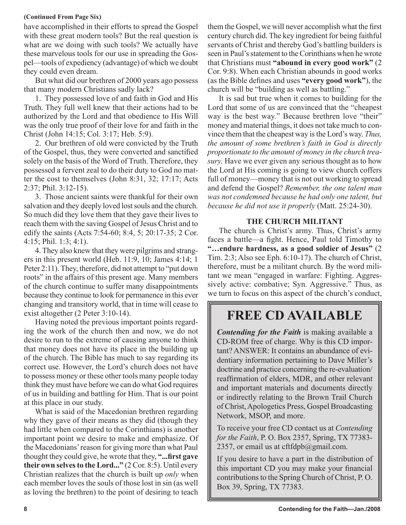## **(Continued From Page Six)**

have accomplished in their efforts to spread the Gospel with these great modern tools? But the real question is what are we doing with such tools? We actually have these marvelous tools for our use in spreading the Gospel—tools of expediency (advantage) of which we doubt they could even dream.

But what did our brethren of 2000 years ago possess that many modern Christians sadly lack?

1. They possessed love of and faith in God and His Truth. They full well knew that their actions had to be authorized by the Lord and that obedience to His Will was the only true proof of their love for and faith in the Christ (John 14:15; Col. 3:17; Heb. 5:9).

2. Our brethren of old were convicted by the Truth of the Gospel, thus, they were converted and sanctified solely on the basis of the Word of Truth. Therefore, they possessed a fervent zeal to do their duty to God no matter the cost to themselves (John 8:31, 32; 17:17; Acts 2:37; Phil. 3:12-15).

3. Those ancient saints were thankful for their own salvation and they deeply loved lost souls and the church. So much did they love them that they gave their lives to reach them with the saving Gospel of Jesus Christ and to edify the saints (Acts 7:54-60; 8:4, 5; 20:17-35; 2 Cor. 4:15; Phil. 1:3; 4:1).

4. They also knew that they were pilgrims and strangers in this present world (Heb. 11:9, 10; James 4:14; 1 Peter 2:11). They, therefore, did not attempt to "put down roots" in the affairs of this present age. Many members of the church continue to suffer many disappointments because they continue to look for permanence in this ever changing and transitory world, that in time will cease to exist altogether (2 Peter 3:10-14).

Having noted the previous important points regarding the work of the church then and now, we do not desire to run to the extreme of causing anyone to think that money does not have its place in the building up of the church. The Bible has much to say regarding its correct use. However, the Lord's church does not have to possess money or these other tools many people today think they must have before we can do what God requires of us in building and battling for Him. That is our point at this place in our study.

What is said of the Macedonian brethren regarding why they gave of their means as they did (though they had little when compared to the Corinthians) is another important point we desire to make and emphasize. Of the Macedonians' reason for giving more than what Paul thought they could give, he wrote that they, **"...first gave their own selves to the Lord..."** (2 Cor. 8:5). Until every Christian realizes that the church is built up *only* when each member loves the souls of those lost in sin (as well as loving the brethren) to the point of desiring to teach

them the Gospel, we will never accomplish what the first century church did. The key ingredient for being faithful servants of Christ and thereby God's battling builders is seen in Paul's statement to the Corinthians when he wrote that Christians must **"abound in every good work"** (2 Cor. 9:8). When each Christian abounds in good works (as the Bible defines and uses **"every good work"**), the church will be "building as well as battling."

It is sad but true when it comes to building for the Lord that some of us are convinced that the "cheapest way is the best way." Because brethren love "their" money and material things, it does not take much to convince them that the cheapest way is the Lord's way. *Thus, the amount of some brethren's faith in God is directly proportionate to the amount of money in the church treasury.* Have we ever given any serious thought as to how the Lord at His coming is going to view church coffers full of money—money that is not out working to spread and defend the Gospel? *Remember, the one talent man was not condemned because he had only one talent, but because he did not use it properly* (Matt. 25:24-30).

## **THE CHURCH MILITANT**

The church is Christ's army. Thus, Christ's army faces a battle—a fight. Hence, Paul told Timothy to **"…endure hardness, as a good soldier of Jesus"** (2 Tim. 2:3; Also see Eph. 6:10-17). The church of Christ, therefore, must be a militant church. By the word militant we mean "engaged in warfare: Fighting. Aggressively active: combative; Syn. Aggressive." Thus, as we turn to focus on this aspect of the church's conduct,

# **FREE CD AVAILABLE**

*Contending for the Faith* is making available a CD-ROM free of charge. Why is this CD important? ANSWER: It contains an abundance of evidentiary information pertaining to Dave Miller's doctrine and practice concerning the re-evaluation/ reaffirmation of elders, MDR, and other relevant and important materials and documents directly or indirectly relating to the Brown Trail Church of Christ, Apologetics Press, Gospel Broadcasting Network, MSOP, and more.

To receive your free CD contact us at *Contending for the Faith*, P. O. Box 2357, Spring, TX 77383- 2357, or email us at cftfdpb $@g$ gmail.com.

If you desire to have a part in the distribution of this important CD you may make your financial contributions to the Spring Church of Christ, P. O. Box 39, Spring, TX 77383.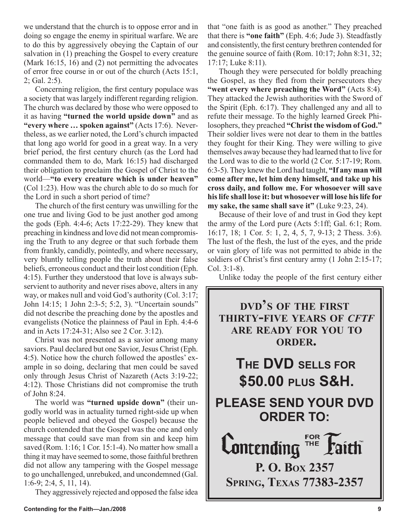we understand that the church is to oppose error and in doing so engage the enemy in spiritual warfare. We are to do this by aggressively obeying the Captain of our salvation in (1) preaching the Gospel to every creature (Mark 16:15, 16) and (2) not permitting the advocates of error free course in or out of the church (Acts 15:1, 2; Gal. 2:5).

Concerning religion, the first century populace was a society that was largely indifferent regarding religion. The church was declared by those who were opposed to it as having **"turned the world upside down"** and as **"every where ... spoken against"** (Acts 17:6). Nevertheless, as we earlier noted, the Lord's church impacted that long ago world for good in a great way. In a very brief period, the first century church (as the Lord had commanded them to do, Mark 16:15) had discharged their obligation to proclaim the Gospel of Christ to the world—**"to every creature which is under heaven"** (Col 1:23). How was the church able to do so much for the Lord in such a short period of time?

The church of the first century was unwilling for the one true and living God to be just another god among the gods (Eph. 4:4-6; Acts 17:22-29). They knew that preaching in kindness and love did not mean compromising the Truth to any degree or that such forbade them from frankly, candidly, pointedly, and where necessary, very bluntly telling people the truth about their false beliefs, erroneous conduct and their lost condition (Eph. 4:15). Further they understood that love is always subservient to authority and never rises above, alters in any way, or makes null and void God's authority (Col. 3:17; John 14:15; 1 John 2:3-5; 5:2, 3). "Uncertain sounds" did not describe the preaching done by the apostles and evangelists (Notice the plainness of Paul in Eph. 4:4-6 and in Acts 17:24-31; Also see 2 Cor. 3:12).

Christ was not presented as a savior among many saviors. Paul declared but one Savior, Jesus Christ (Eph. 4:5). Notice how the church followed the apostles' example in so doing, declaring that men could be saved only through Jesus Christ of Nazareth (Acts 3:19-22; 4:12). Those Christians did not compromise the truth of John 8:24.

The world was **"turned upside down"** (their ungodly world was in actuality turned right-side up when people believed and obeyed the Gospel) because the church contended that the Gospel was the one and only message that could save man from sin and keep him saved (Rom. 1:16; 1 Cor. 15:1-4). No matter how small a thing it may have seemed to some, those faithful brethren did not allow any tampering with the Gospel message to go unchallenged, unrebuked, and uncondemned (Gal. 1:6-9; 2:4, 5, 11, 14).

They aggressively rejected and opposed the false idea

that "one faith is as good as another." They preached that there is **"one faith"** (Eph. 4:6; Jude 3). Steadfastly and consistently, the first century brethren contended for the genuine source of faith (Rom. 10:17; John 8:31, 32; 17:17; Luke 8:11).

Though they were persecuted for boldly preaching the Gospel, as they fled from their persecutors they **"went every where preaching the Word"** (Acts 8:4). They attacked the Jewish authorities with the Sword of the Spirit (Eph. 6:17). They challenged any and all to refute their message. To the highly learned Greek Philosophers, they preached **"Christ the wisdom of God."** Their soldier lives were not dear to them in the battles they fought for their King. They were willing to give themselves away because they had learned that to live for the Lord was to die to the world (2 Cor. 5:17-19; Rom. 6:3-5). They knew the Lord had taught, **"If any man will come after me, let him deny himself, and take up his cross daily, and follow me. For whosoever will save his life shall lose it: but whosoever will lose his life for my sake, the same shall save it"** (Luke 9:23, 24).

Because of their love of and trust in God they kept the army of the Lord pure (Acts 5:1ff; Gal. 6:1; Rom. 16:17, 18; 1 Cor. 5: 1, 2, 4, 5, 7, 9-13; 2 Thess. 3:6). The lust of the flesh, the lust of the eyes, and the pride or vain glory of life was not permitted to abide in the soldiers of Christ's first century army (1 John 2:15-17; Col. 3:1-8).

Unlike today the people of the first century either

**DVD'S OF THE FIRST THIRTY-FIVE YEARS OF** *CFTF* **ARE READY FOR YOU TO ORDER. THE DVD SELLS FOR \$50.00 PLUS S&H. PLEASE SEND YOUR DVD ORDER TO: FOR**  $\mathsf{Contending}$ **P. O. BOX 2357 SPRING, TEXAS 77383-2357**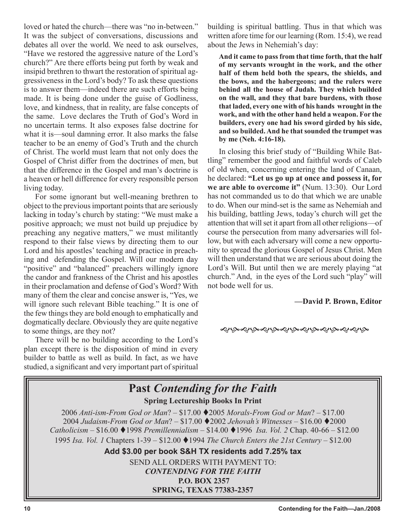loved or hated the church—there was "no in-between." It was the subject of conversations, discussions and debates all over the world. We need to ask ourselves, "Have we restored the aggressive nature of the Lord's church?" Are there efforts being put forth by weak and insipid brethren to thwart the restoration of spiritual aggressiveness in the Lord's body? To ask these questions is to answer them—indeed there are such efforts being made. It is being done under the guise of Godliness, love, and kindness, that in reality, are false concepts of the same. Love declares the Truth of God's Word in no uncertain terms. It also exposes false doctrine for what it is—soul damning error. It also marks the false teacher to be an enemy of God's Truth and the church of Christ. The world must learn that not only does the Gospel of Christ differ from the doctrines of men, but that the difference in the Gospel and man's doctrine is a heaven or hell difference for every responsible person living today.

For some ignorant but well-meaning brethren to object to the previous important points that are seriously lacking in today's church by stating: "We must make a positive approach; we must not build up prejudice by preaching any negative matters," we must militantly respond to their false views by directing them to our Lord and his apostles' teaching and practice in preaching and defending the Gospel. Will our modern day "positive" and "balanced" preachers willingly ignore the candor and frankness of the Christ and his apostles in their proclamation and defense of God's Word? With many of them the clear and concise answer is, "Yes, we will ignore such relevant Bible teaching." It is one of the few things they are bold enough to emphatically and dogmatically declare. Obviously they are quite negative to some things, are they not?

There will be no building according to the Lord's plan except there is the disposition of mind in every builder to battle as well as build. In fact, as we have studied, a significant and very important part of spiritual building is spiritual battling. Thus in that which was written afore time for our learning (Rom. 15:4), we read about the Jews in Nehemiah's day:

**And it came to pass from that time forth, that the half of my servants wrought in the work, and the other half of them held both the spears, the shields, and the bows, and the habergeons; and the rulers were behind all the house of Judah. They which builded on the wall, and they that bare burdens, with those that laded, every one with of his hands wrought in the work, and with the other hand held a weapon. For the builders, every one had his sword girded by his side, and so builded. And he that sounded the trumpet was by me (Neh. 4:16-18).** 

In closing this brief study of "Building While Battling" remember the good and faithful words of Caleb of old when, concerning entering the land of Canaan, he declared: **"Let us go up at once and possess it, for we are able to overcome it"** (Num. 13:30). Our Lord has not commanded us to do that which we are unable to do. When our mind-set is the same as Nehemiah and his building, battling Jews, today's church will get the attention that will set it apart from all other religions—of course the persecution from many adversaries will follow, but with each adversary will come a new opportunity to spread the glorious Gospel of Jesus Christ. Men will then understand that we are serious about doing the Lord's Will. But until then we are merely playing "at church." And, in the eyes of the Lord such "play" will not bode well for us.

## **—David P. Brown, Editor**

෯**෯෯෯෯෯෯෯෯෯෯෯** 

## **Past** *Contending for the Faith* **Spring Lectureship Books In Print** 2006 *Anti-ism-From God or Man*? – \$17.00 2005 *Morals-From God or Man*? – \$17.00 2004 *Judaism-From God or Man*? – \$17.00 2002 *Jehovah's Witnesses –* \$16.00 2000 *Catholicism –* \$16.00 1998 *Premillennialism –* \$14.00 1996 *Isa. Vol. 2* Chap. 40-66 – \$12.00 1995 *Isa. Vol. 1* Chapters 1-39 – \$12.00 1994 *The Church Enters the 21st Century* – \$12.00 **Add \$3.00 per book S&H TX residents add 7.25% tax** SEND ALL ORDERS WITH PAYMENT TO: *CONTENDING FOR THE FAITH* **P.O. BOX 2357 SPRING, TEXAS 77383-2357**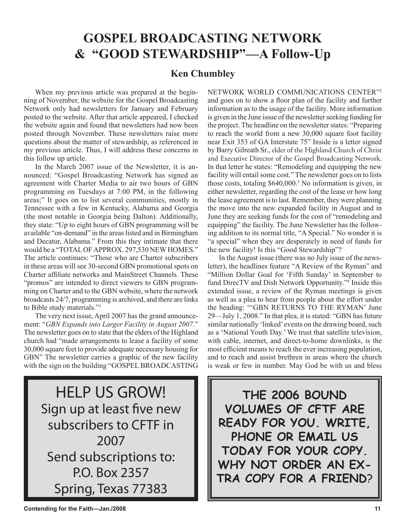# **GOSPEL BROADCASTING NETWORK & "GOOD STEWARDSHIP"—A Follow-Up**

## **Ken Chumbley**

When my previous article was prepared at the beginning of November, the website for the Gospel Broadcasting Network only had newsletters for January and February posted to the website. After that article appeared, I checked the website again and found that newsletters had now been posted through November. These newsletters raise more questions about the matter of stewardship, as referenced in my previous article. Thus, I will address these concerns in this follow up article.

In the March 2007 issue of the Newsletter, it is announced: "Gospel Broadcasting Network has signed an agreement with Charter Media to air two hours of GBN programming on Tuesdays at 7:00 PM, in the following areas;" It goes on to list several communities, mostly in Tennessee with a few in Kentucky, Alabama and Georgia (the most notable in Georgia being Dalton). Additionally, they state: "Up to eight hours of GBN programming will be available "on-demand" in the areas listed and in Birmingham and Decatur, Alabama." From this they intimate that there would be a "TOTAL OF APPROX. 297,530 NEW HOMES." The article continues: "Those who are Charter subscribers in these areas will see 30-second GBN promotional spots on Charter affiliate networks and MainStreet Channels. These "promos" are intended to direct viewers to GBN programming on Charter and to the GBN website, where the network broadcasts 24/7, programming is archived, and there are links to Bible study materials."1

The very next issue, April 2007 has the grand announcement: "*GBN Expands into Larger Facility in August 2007*." The newsletter goes on to state that the elders of the Highland church had "made arrangements to lease a facility of some 30,000 square feet to provide adequate necessary housing for GBN" The newsletter carries a graphic of the new facility with the sign on the building "GOSPEL BROADCASTING NETWORK WORLD COMMUNICATIONS CENTER"2 and goes on to show a floor plan of the facility and further information as to the usage of the facility. More information is given in the June issue of the newsletter seeking funding for the project. The headline on the newsletter states: "Preparing to reach the world from a new 30,000 square foot facility near Exit 353 of GA Interstate 75" Inside is a letter signed by Barry Gilreath Sr., elder of the Highland Church of Christ and Executive Director of the Gospel Broadcasting Network. In that letter he states: "Remodeling and equipping the new facility will entail some cost." The newsletter goes on to lists those costs, totaling \$640,000.3 No information is given, in either newsletter, regarding the cost of the lease or how long the lease agreement is to last. Remember, they were planning the move into the new expanded facility in August and in June they are seeking funds for the cost of "remodeling and equipping" the facility. The June Newsletter has the following addition to its normal title, "A Special." No wonder it is "a special" when they are desperately in need of funds for the new facility! Is this "Good Stewardship"?

In the August issue (there was no July issue of the newsletter), the headlines feature "A Review of the Ryman" and "Million Dollar Goal for 'Fifth Sunday' in September to fund DirecTV and Dish Network Opportunity."4 Inside this extended issue, a review of the Ryman meetings is given as well as a plea to hear from people about the effort under the heading: "'GBN RETURNS TO THE RYMAN' June 29—July 1, 2008." In that plea, it is stated: "GBN has future similar nationally 'linked' events on the drawing board, such as a 'National Youth Day.' We trust that satellite television, with cable, internet, and direct-to-home downlinks, is the most efficient means to reach the ever increasing population, and to reach and assist brethren in areas where the church is weak or few in number. May God be with us and bless

HELP US GROW! Sign up at least five new subscribers to CFTF in 2007 Send subscriptions to: P.O. Box 2357 Spring, Texas 77383

**THE 2006 BOUND VOLUMES OF CFTF ARE READY FOR YOU. WRITE, PHONE OR EMAIL US TODAY FOR YOUR COPY. WHY NOT ORDER AN EX-TRA COPY FOR A FRIEND**?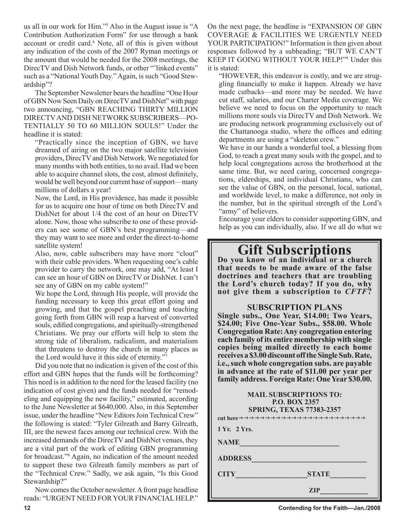us all in our work for Him."5 Also in the August issue is "A Contribution Authorization Form" for use through a bank account or credit card.<sup>6</sup> Note, all of this is given without any indication of the costs of the 2007 Ryman meetings or the amount that would be needed for the 2008 meetings, the DirecTV and Dish Network funds, or other "'linked events" such as a "National Youth Day." Again, is such "Good Stewardship"?

The September Newsletter bears the headline "One Hour of GBN Now Seen Daily on DirecTV and DishNet" with page two announcing, "GBN REACHING THIRTY MILLION DIRECTV AND DISH NETWORK SUBSCRIBERS—PO-TENTIALLY 50 TO 60 MILLION SOULS!" Under the headline it is stated:

"Practically since the inception of GBN, we have dreamed of airing on the two major satellite television providers, DirecTV and Dish Network. We negotiated for many months with both entities, to no avail. Had we been able to acquire channel slots, the cost, almost definitely, would be well beyond our current base of support—many millions of dollars a year!

Now, the Lord, in His providence, has made it possible for us to acquire one hour of time on both DirecTV and DishNet for about 1/4 the cost of an hour on DirecTV alone. Now, those who subscribe to one of these providers can see some of GBN's best programming—and they may want to see more and order the direct-to-home satellite system!

Also, now, cable subscribers may have more "clout" with their cable providers. When requesting one's cable provider to carry the network, one may add, "At least I can see an hour of GBN on DirecTV or DishNet. I can't see any of GBN on my cable system!"

We hope the Lord, through His people, will provide the funding necessary to keep this great effort going and growing, and that the gospel preaching and teaching going forth from GBN will reap a harvest of converted souls, edified congregations, and spiritually-strengthened Christians. We pray our efforts will help to stem the strong tide of liberalism, radicalism, and materialism that threatens to destroy the church in many places as the Lord would have it this side of eternity."7

Did you note that no indication is given of the cost of this effort and GBN hopes that the funds will be forthcoming? This need is in addition to the need for the leased facility (no indication of cost given) and the funds needed for "remodeling and equipping the new facility," estimated, according to the June Newsletter at \$640,000. Also, in this September issue, under the headline "New Editors Join Technical Crew" the following is stated: "Tyler Gilreath and Barry Gilreath, III, are the newest faces among our technical crew. With the increased demands of the DirecTV and DishNet venues, they are a vital part of the work of editing GBN programming for broadcast."8 Again, no indication of the amount needed to support these two Gilreath family members as part of the "Technical Crew." Sadly, we ask again, "Is this Good Stewardship?"

Now comes the October newsletter. A front page headline reads: "URGENT NEED FOR YOUR FINANCIAL HELP." On the next page, the headline is "EXPANSION OF GBN COVERAGE & FACILITIES WE URGENTLY NEED YOUR PARTICIPATION!" Information is then given about responses followed by a subheading; "BUT WE CAN'T KEEP IT GOING WITHOUT YOUR HELP!"9 Under this it is stated:

"HOWEVER, this endeavor is costly, and we are struggling financially to make it happen. Already we have made cutbacks—and more may be needed. We have cut staff, salaries, and our Charter Media coverage. We believe we need to focus on the opportunity to reach millions more souls via DirecTV and Dish Network. We are producing network programming exclusively out of the Chattanooga studio, where the offices and editing departments are using a "skeleton crew."

We have in our hands a wonderful tool, a blessing from God, to reach a great many souls with the gospel, and to help local congregations across the brotherhood at the same time. But, we need caring, concerned congregations, elderships, and individual Christians, who can see the value of GBN, on the personal, local, national, and worldwide level, to make a difference, not only in the number, but in the spiritual strength of the Lord's "army" of believers.

Encourage your elders to consider supporting GBN, and help as you can individually, also. If we all do what we

# **Gift Subscriptions Do you know of an individual or a church**

**that needs to be made aware of the false doctrines and teachers that are troubling the Lord's church today? If you do, why not give them a subscription to** *CFTF***?**

## **SUBSCRIPTION PLANS**

**Single subs., One Year, \$14.00; Two Years, \$24.00; Five One-Year Subs., \$58.00. Whole Congregation Rate: Any congregation entering each family of its entire membership with single copies being mailed directly to each home receives a \$3.00 discount off the Single Sub. Rate, i.e., such whole congregation subs. are payable in advance at the rate of \$11.00 per year per family address. Foreign Rate: One Year \$30.00.**

| <b>MAIL SUBSCRIPTIONS TO:</b><br><b>P.O. BOX 2357</b><br><b>SPRING, TEXAS 77383-2357</b> |  |  |  |  |
|------------------------------------------------------------------------------------------|--|--|--|--|
| 1 Yr. 2 Yrs.                                                                             |  |  |  |  |
| <b>NAME</b>                                                                              |  |  |  |  |
| <b>ADDRESS</b>                                                                           |  |  |  |  |
| <b>STATE</b><br><b>CITY</b>                                                              |  |  |  |  |
| ZIP                                                                                      |  |  |  |  |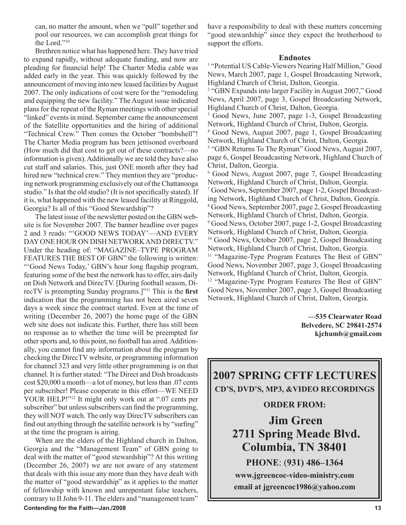can, no matter the amount, when we "pull" together and pool our resources, we can accomplish great things for the Lord."10

Brethren notice what has happened here. They have tried to expand rapidly, without adequate funding, and now are pleading for financial help! The Charter Media cable was added early in the year. This was quickly followed by the announcement of moving into new leased facilities by August 2007. The only indications of cost were for the "remodeling and equipping the new facility." The August issue indicated plans for the repeat of the Ryman meetings with other special "linked" events in mind. September came the announcement of the Satellite opportunities and the hiring of additional "Technical Crew." Then comes the October "bombshell"! The Charter Media program has been jettisoned overboard (How much did that cost to get out of these contracts?—no information is given). Additionally we are told they have also cut staff and salaries. This, just ONE month after they had hired new "technical crew." They mention they are "producing network programming exclusively out of the Chattanooga studio." Is that the old studio? (It is not specifically stated). If it is, what happened with the new leased facility at Ringgold, Georgia? Is all of this "Good Stewardship"?

The latest issue of the newsletter posted on the GBN website is for November 2007. The banner headline over pages 2 and 3 reads: "'GOOD NEWS TODAY'—AND EVERY DAY ONE HOUR ON DISH NETWORK AND DIRECTV." Under the heading of: "MAGAZINE–TYPE PROGRAM FEATURES THE BEST OF GBN" the following is written: "'Good News Today,' GBN's hour long flagship program, featuring some of the best the network has to offer, airs daily on Dish Network and DirecTV. [During football season, DirecTV is preempting Sunday programs.]"11 This is the **first** indication that the programming has not been aired seven days a week since the contract started. Even at the time of writing (December 26, 2007) the home page of the GBN web site does not indicate this. Further, there has still been no response as to whether the time will be preempted for other sports and, to this point, no football has aired. Additionally, you cannot find any information about the program by checking the DirecTV website, or programming information for channel 323 and very little other programming is on that channel. It is further stated: "The Direct and Dish broadcasts cost \$20,000 a month—a lot of money, but less than .07 cents per subscriber! Please cooperate in this effort—WE NEED YOUR HELP!"<sup>12</sup> It might only work out at ".07 cents per subscriber" but unless subscribers can find the programming, they will NOT watch. The only way DirecTV subscribers can find out anything through the satellite network is by "surfing" at the time the program is airing.

**Contending for the Faith—Jan./2008 13** When are the elders of the Highland church in Dalton, Georgia and the "Management Team" of GBN going to deal with the matter of "good stewardship"? At this writing (December 26, 2007) we are not aware of any statement that deals with this issue any more than they have dealt with the matter of "good stewardship" as it applies to the matter of fellowship with known and unrepentant false teachers, contrary to II John 9-11. The elders and "management team"

have a responsibility to deal with these matters concerning "good stewardship" since they expect the brotherhood to support the efforts.

#### **Endnotes**

<sup>1</sup> "Potential US Cable-Viewers Nearing Half Million," Good News, March 2007, page 1, Gospel Broadcasting Network, Highland Church of Christ, Dalton, Georgia.

<sup>2</sup> "GBN Expands into larger Facility in August 2007," Good News, April 2007, page 3, Gospel Broadcasting Network, Highland Church of Christ, Dalton, Georgia.

<sup>3</sup> Good News, June 2007, page 1-3, Gospel Broadcasting Network, Highland Church of Christ, Dalton, Georgia.

4 Good News, August 2007, page 1, Gospel Broadcasting Network, Highland Church of Christ, Dalton, Georgia. <sup>5</sup> "GBN Returns To The Ryman" Good News, August 2007,

page 6, Gospel Broadcasting Network, Highland Church of Christ, Dalton, Georgia.

6 Good News, August 2007, page 7, Gospel Broadcasting Network, Highland Church of Christ, Dalton, Georgia. 7 Good News, September 2007, page 1-2, Gospel Broadcasting Network, Highland Church of Christ, Dalton, Georgia. 8 Good News, September 2007, page 2, Gospel Broadcasting Network, Highland Church of Christ, Dalton, Georgia. 9 Good News, October 2007, page 1-2, Gospel Broadcasting Network, Highland Church of Christ, Dalton, Georgia. <sup>10</sup> Good News, October 2007, page 2, Gospel Broadcasting Network, Highland Church of Christ, Dalton, Georgia. <sup>11</sup> "Magazine-Type Program Features The Best of GBN" Good News, November 2007, page 3, Gospel Broadcasting Network, Highland Church of Christ, Dalton, Georgia. <sup>12</sup> "Magazine-Type Program Features The Best of GBN" Good News, November 2007, page 3, Gospel Broadcasting Network, Highland Church of Christ, Dalton, Georgia.

> **—535 Clearwater Road Belvedere, SC 29841-2574 kjchumb@gmail.com**

**2007 SPRING CFTF LECTURES CD'S, DVD'S, MP3, &VIDEO RECORDINGS** 

## **ORDER FROM:**

**Jim Green 2711 Spring Meade Blvd. Columbia, TN 38401**

**PHONE**: (**931) 486–1364 www.jgreencoc-video-ministry.com email at jgreencoc1986@yahoo.com**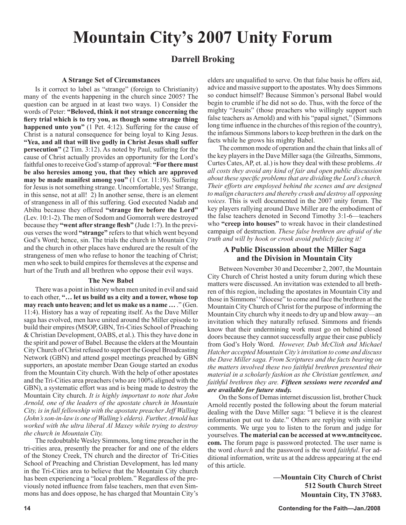# **Mountain City's 2007 Unity Forum**

## **Darrell Broking**

## **A Strange Set of Circumstances**

Is it correct to label as "strange" (foreign to Christianity) many of the events happening in the church since 2005? The question can be argued in at least two ways. 1) Consider the words of Peter: **"Beloved, think it not strange concerning the fiery trial which is to try you, as though some strange thing happened unto you"** (1 Pet. 4:12). Suffering for the cause of Christ is a natural consequence for being loyal to King Jesus. **"Yea, and all that will live godly in Christ Jesus shall suffer persecution"** (2 Tim. 3:12). As noted by Paul, suffering for the cause of Christ actually provides an opportunity for the Lord's faithful ones to receive God's stamp of approval: **"For there must be also heresies among you, that they which are approved may be made manifest among you"** (1 Cor. 11:19). Suffering for Jesus is not something strange. Uncomfortable, yes! Strange, in this sense, not at all! 2) In another sense, there is an element of strangeness in all of this suffering. God executed Nadab and Abihu because they offered **"strange fire before the Lord"**  (Lev. 10:1-2). The men of Sodom and Gomorrah were destroyed because they **"went after strange flesh"** (Jude 1:7). In the previous verses the word **"strange"** refers to that which went beyond God's Word; hence, sin. The trials the church in Mountain City and the church in other places have endured are the result of the strangeness of men who refuse to honor the teaching of Christ; men who seek to build empires for themsleves at the expense and hurt of the Truth and all brethren who oppose their evil ways.

## **The New Babel**

There was a point in history when men united in evil and said to each other, **"… let us build us a city and a tower, whose top may reach unto heaven; and let us make us a name ...** " (Gen. 11:4). History has a way of repeating itself. As the Dave Miller saga has evolved, men have united around the Miller episode to build their empires (MSOP, GBN, Tri-Cities School of Preaching & Christian Development, OABS, et al.). This they have done in the spirit and power of Babel. Because the elders at the Mountain City Church of Christ refused to support the Gospel Broadcasting Network (GBN) and attend gospel meetings preached by GBN supporters, an apostate member Dean Gouge started an exodus from the Mountain City church. With the help of other apostates and the Tri-Cities area preachers (who are 100% aligned with the GBN), a systematic effort was and is being made to destroy the Mountain City church. *It is highly important to note that John Arnold, one of the leaders of the apostate church in Mountain City, is in full fellowship with the apostate preacher Jeff Walling (John's son-in-law is one of Walling's elders). Further, Arnold has worked with the ultra liberal Al Maxey while trying to destroy the church in Mountain City.*

The redoubtable Wesley Simmons, long time preacher in the tri-cities area, presently the preacher for and one of the elders of the Stoney Creek, TN church and the director of Tri-Cities School of Preaching and Christian Development, has led many in the Tri-Cities area to believe that the Mountain City church has been experiencing a "local problem." Regardless of the previously noted influence from false teachers, men that even Simmons has and does oppose, he has charged that Mountain City's elders are unqualified to serve. On that false basis he offers aid, advice and massive support to the apostates. Why does Simmons so conduct himself? Because Simmon's personal Babel would begin to crumble if he did not so do. Thus, with the force of the mighty "Jesuits" (those preachers who willingly support such false teachers as Arnold) and with his "papal signet," (Simmons long time influence in the churches of this region of the country), the infamous Simmons labors to keep brethren in the dark on the facts while he grows his mighty Babel.

The common mode of operation and the chain that links all of the key players in the Dave Miller saga (the Gilreaths, Simmons, Curtes Cates, AP, et. al.) is how they deal with these problems. *At all costs they avoid any kind of fair and open public discussion about these specific problems that are dividing the Lord's church. Their efforts are employed behind the scenes and are designed to malign characters and thereby crush and destroy all opposing voices.* This is well documented in the 2007 unity forum. The key players rallying around Dave Miller are the embodiment of the false teachers denoted in Second Timothy 3:1-6—teachers who **"creep into houses"** to wreak havoc in their clandestined campaign of destruction. *These false brethren are afraid of the truth and will by hook or crook avoid publicly facing it!*

## **A Public Discussion about the Miller Saga and the Division in Mountain City**

Between November 30 and December 2, 2007, the Mountain City Church of Christ hosted a unity forum during which these matters were discussed. An invitation was extended to all brethren of this region, including the apostates in Mountain City and those in Simmons' "diocese" to come and face the brethren at the Mountain City Church of Christ for the purpose of informing the Mountain City church why it needs to dry up and blow away—an invitation which they naturally refused. Simmons and friends know that their undermining work must go on behind closed doors because they cannot successfully argue their case publicly from God's Holy Word. *However, Dub McClish and Michael Hatcher accepted Mountain City's invitation to come and discuss the Dave Miller saga. From Scriptures and the facts bearing on the matters involved these two faithful brethren presented their material in a scholarly fashion as the Christian gentlemen, and faithful brethren they are. Fifteen sessions were recorded and are available for future study.*

On the Sons of Demas internet discussion list, brother Chuck Arnold recently posted the following about the forum material dealing with the Dave Miller saga: "I believe it is the clearest information put out to date." Others are replying with similar comments. We urge you to listen to the forum and judge for yourselves. **The material can be accessed at www.mtncitycoc. com.** The forum page is password protected. The user name is the word *church* and the password is the word *faithful*. For additional information, write us at the address appearing at the end of this article.

> **—Mountain City Church of Christ 512 South Church Street Mountain City, TN 37683.**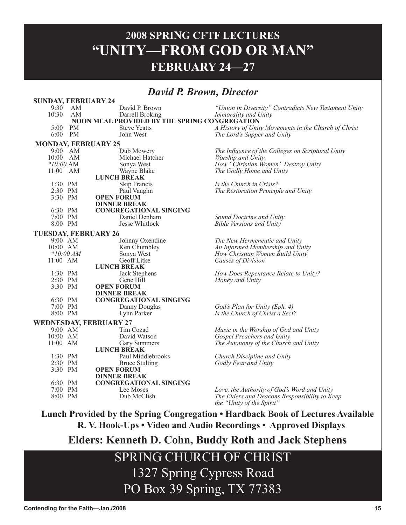## 2**008 SPRING CFTF LECTURES "UNITY—FROM GOD OR MAN" FEBRUARY 24—27**

## *David P. Brown, Director*

| <b>SUNDAY, FEBRUARY 24</b>  |             |                                               |                                                                            |
|-----------------------------|-------------|-----------------------------------------------|----------------------------------------------------------------------------|
| 9:30                        | AM          | David P. Brown                                | "Union in Diversity" Contradicts New Testament Unity                       |
| 10:30                       | AM          | Darrell Broking                               | Immorality and Unity                                                       |
|                             |             | NOON MEAL PROVIDED BY THE SPRING CONGREGATION |                                                                            |
| 5:00                        | PM          | <b>Steve Yeatts</b>                           | A History of Unity Movements in the Church of Christ                       |
|                             | 6:00 PM     | John West                                     | The Lord's Supper and Unity                                                |
| <b>MONDAY, FEBRUARY 25</b>  |             |                                               |                                                                            |
|                             | $9:00$ AM   | Dub Mowery                                    | The Influence of the Colleges on Scriptural Unity                          |
| 10:00 AM                    |             | Michael Hatcher                               | Worship and Unity                                                          |
| $*10:00 \text{ AM}$         |             | Sonya West                                    | How "Christian Women" Destroy Unity                                        |
| 11:00 AM                    |             | Wayne Blake                                   | The Godly Home and Unity                                                   |
|                             |             | <b>LUNCH BREAK</b>                            |                                                                            |
| 1:30 PM                     |             | Skip Francis                                  | Is the Church in Crisis?                                                   |
| 2:30 PM                     |             | Paul Vaughn                                   | The Restoration Principle and Unity                                        |
| 3:30 PM                     |             | <b>OPEN FORUM</b>                             |                                                                            |
|                             |             | <b>DINNER BREAK</b>                           |                                                                            |
| 6:30 PM                     |             | <b>CONGREGATIONAL SINGING</b>                 |                                                                            |
| 7:00 PM                     |             | Daniel Denham                                 | Sound Doctrine and Unity                                                   |
| 8:00 PM                     |             | Jesse Whitlock                                | <b>Bible Versions and Unity</b>                                            |
| <b>TUESDAY, FEBRUARY 26</b> |             |                                               |                                                                            |
| 9:00 AM                     |             | Johnny Oxendine                               | The New Hermeneutic and Unity                                              |
| 10:00 AM                    |             | Ken Chumbley                                  | An Informed Membership and Unity                                           |
|                             | $*10:00 AM$ | Sonya West                                    | How Christian Women Build Unity                                            |
| $11:00$ AM                  |             | Geoff Litke                                   | Causes of Division                                                         |
|                             |             | <b>LUNCH BREAK</b>                            |                                                                            |
| 1:30 PM                     |             | Jack Stephens                                 | How Does Repentance Relate to Unity?                                       |
| 2:30 PM                     |             | Gene Hill                                     | Money and Unity                                                            |
| 3:30 PM                     |             | <b>OPEN FORUM</b>                             |                                                                            |
|                             |             | <b>DINNER BREAK</b>                           |                                                                            |
| 6:30 PM                     |             | <b>CONGREGATIONAL SINGING</b>                 |                                                                            |
| 7:00 PM                     |             | Danny Douglas                                 | God's Plan for Unity (Eph. 4)                                              |
| 8:00 PM                     |             | Lynn Parker                                   | Is the Church of Christ a Sect?                                            |
|                             |             | <b>WEDNESDAY, FEBRUARY 27</b>                 |                                                                            |
| 9:00 AM                     |             | Tim Cozad                                     | Music in the Worship of God and Unity                                      |
| 10:00 AM                    |             | David Watson                                  | Gospel Preachers and Unity                                                 |
| $11:00$ AM                  |             | Gary Summers                                  | The Autonomy of the Church and Unity                                       |
|                             |             | <b>LUNCH BREAK</b>                            |                                                                            |
| $1:30$ PM                   |             | Paul Middlebrooks                             | Church Discipline and Unity                                                |
| 2:30 PM                     |             | <b>Bruce Stulting</b>                         | Godly Fear and Unity                                                       |
| 3:30 PM                     |             | <b>OPEN FORUM</b>                             |                                                                            |
|                             |             | <b>DINNER BREAK</b>                           |                                                                            |
| 6:30 PM                     |             | <b>CONGREGATIONAL SINGING</b>                 |                                                                            |
| 7:00 PM                     |             | Lee Moses                                     | Love, the Authority of God's Word and Unity                                |
| 8:00 PM                     |             | Dub McClish                                   | The Elders and Deacons Responsibility to Keep<br>the "Unity of the Spirit" |
|                             |             |                                               |                                                                            |

**Lunch Provided by the Spring Congregation • Hardback Book of Lectures Available R. V. Hook-Ups • Video and Audio Recordings • Approved Displays**

**Elders: Kenneth D. Cohn, Buddy Roth and Jack Stephens**

SPRING CHURCH OF CHRIST 1327 Spring Cypress Road PO Box 39 Spring, TX 77383